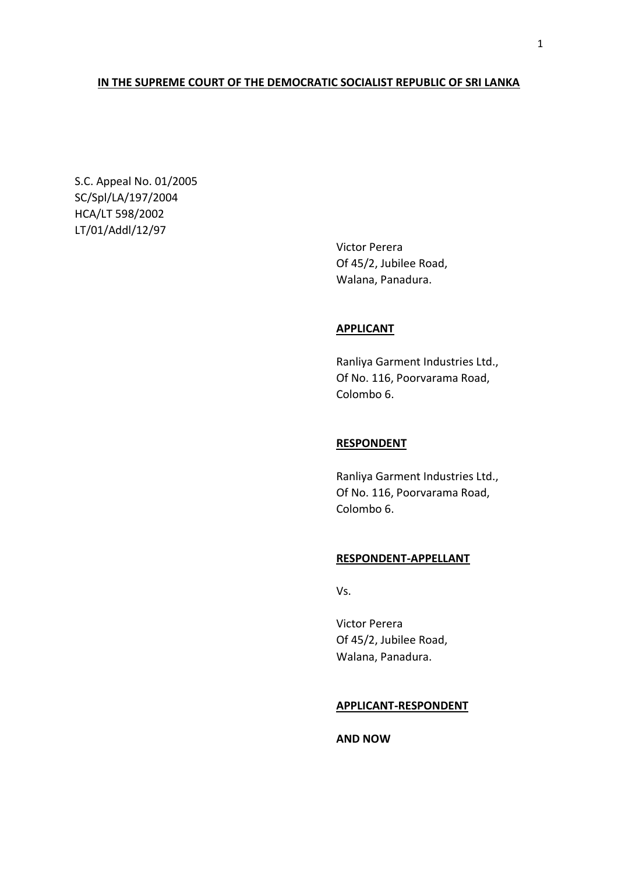# **IN THE SUPREME COURT OF THE DEMOCRATIC SOCIALIST REPUBLIC OF SRI LANKA**

S.C. Appeal No. 01/2005 SC/Spl/LA/197/2004 HCA/LT 598/2002 LT/01/Addl/12/97

> Victor Perera Of 45/2, Jubilee Road, Walana, Panadura.

## **APPLICANT**

Ranliya Garment Industries Ltd., Of No. 116, Poorvarama Road, Colombo 6.

# **RESPONDENT**

Ranliya Garment Industries Ltd., Of No. 116, Poorvarama Road, Colombo 6.

### **RESPONDENT-APPELLANT**

Vs.

Victor Perera Of 45/2, Jubilee Road, Walana, Panadura.

#### **APPLICANT-RESPONDENT**

**AND NOW**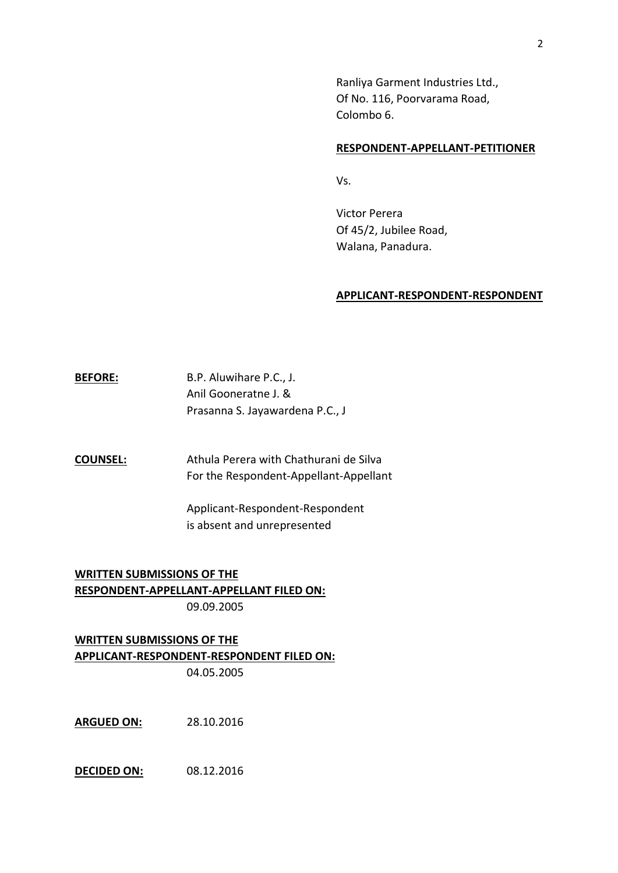Ranliya Garment Industries Ltd., Of No. 116, Poorvarama Road, Colombo 6.

#### **RESPONDENT-APPELLANT-PETITIONER**

Vs.

Victor Perera Of 45/2, Jubilee Road, Walana, Panadura.

#### **APPLICANT-RESPONDENT-RESPONDENT**

**BEFORE:** B.P. Aluwihare P.C., J. Anil Gooneratne J. & Prasanna S. Jayawardena P.C., J

**COUNSEL:** Athula Perera with Chathurani de Silva For the Respondent-Appellant-Appellant

> Applicant-Respondent-Respondent is absent and unrepresented

**WRITTEN SUBMISSIONS OF THE RESPONDENT-APPELLANT-APPELLANT FILED ON:** 09.09.2005

**WRITTEN SUBMISSIONS OF THE APPLICANT-RESPONDENT-RESPONDENT FILED ON:** 04.05.2005

**ARGUED ON:** 28.10.2016

**DECIDED ON:** 08.12.2016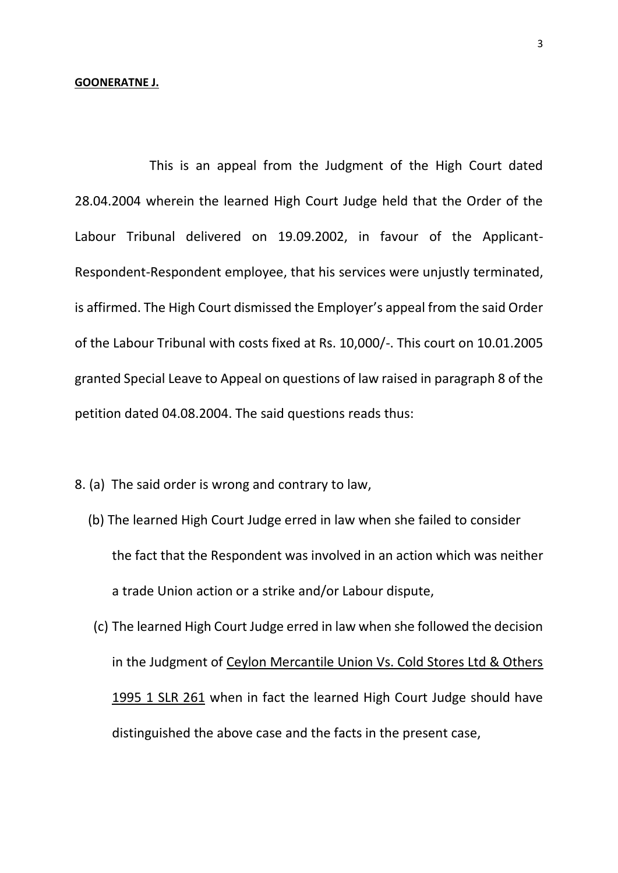### **GOONERATNE J.**

This is an appeal from the Judgment of the High Court dated 28.04.2004 wherein the learned High Court Judge held that the Order of the Labour Tribunal delivered on 19.09.2002, in favour of the Applicant-Respondent-Respondent employee, that his services were unjustly terminated, is affirmed. The High Court dismissed the Employer's appeal from the said Order of the Labour Tribunal with costs fixed at Rs. 10,000/-. This court on 10.01.2005 granted Special Leave to Appeal on questions of law raised in paragraph 8 of the petition dated 04.08.2004. The said questions reads thus:

8. (a) The said order is wrong and contrary to law,

- (b) The learned High Court Judge erred in law when she failed to consider the fact that the Respondent was involved in an action which was neither a trade Union action or a strike and/or Labour dispute,
- (c) The learned High Court Judge erred in law when she followed the decision in the Judgment of Ceylon Mercantile Union Vs. Cold Stores Ltd & Others 1995 1 SLR 261 when in fact the learned High Court Judge should have distinguished the above case and the facts in the present case,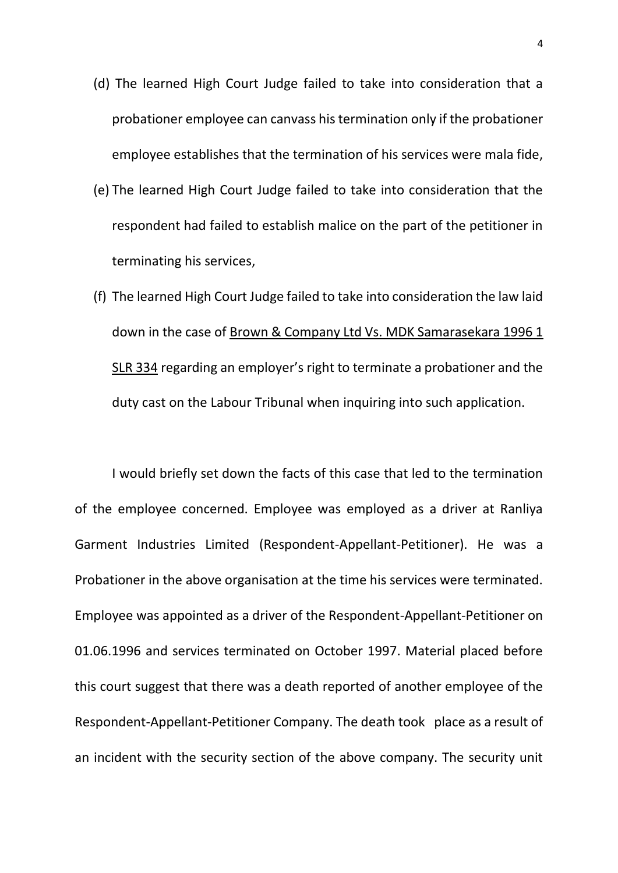- (d) The learned High Court Judge failed to take into consideration that a probationer employee can canvass his termination only if the probationer employee establishes that the termination of his services were mala fide,
- (e) The learned High Court Judge failed to take into consideration that the respondent had failed to establish malice on the part of the petitioner in terminating his services,
- (f) The learned High Court Judge failed to take into consideration the law laid down in the case of Brown & Company Ltd Vs. MDK Samarasekara 1996 1 SLR 334 regarding an employer's right to terminate a probationer and the duty cast on the Labour Tribunal when inquiring into such application.

I would briefly set down the facts of this case that led to the termination of the employee concerned. Employee was employed as a driver at Ranliya Garment Industries Limited (Respondent-Appellant-Petitioner). He was a Probationer in the above organisation at the time his services were terminated. Employee was appointed as a driver of the Respondent-Appellant-Petitioner on 01.06.1996 and services terminated on October 1997. Material placed before this court suggest that there was a death reported of another employee of the Respondent-Appellant-Petitioner Company. The death took place as a result of an incident with the security section of the above company. The security unit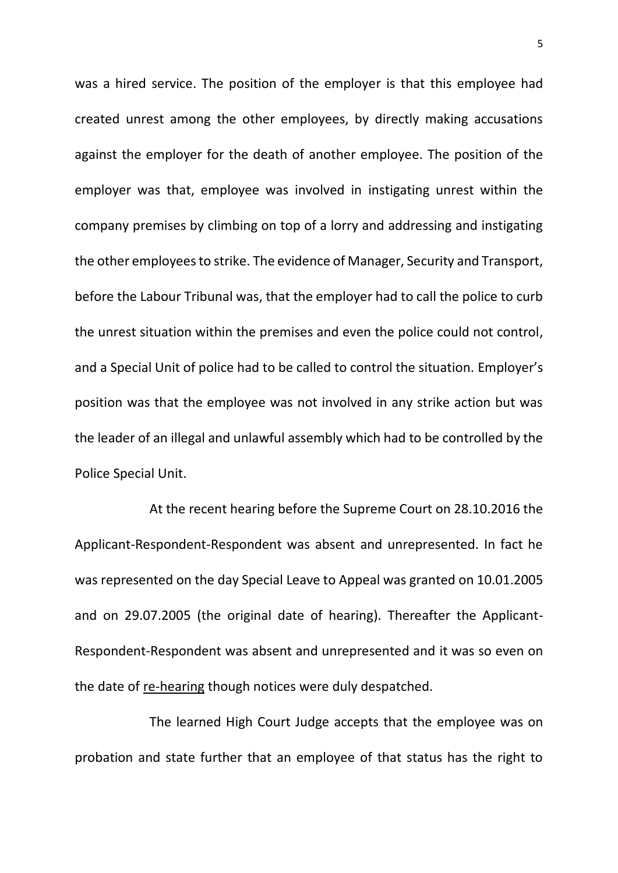was a hired service. The position of the employer is that this employee had created unrest among the other employees, by directly making accusations against the employer for the death of another employee. The position of the employer was that, employee was involved in instigating unrest within the company premises by climbing on top of a lorry and addressing and instigating the other employees to strike. The evidence of Manager, Security and Transport, before the Labour Tribunal was, that the employer had to call the police to curb the unrest situation within the premises and even the police could not control, and a Special Unit of police had to be called to control the situation. Employer's position was that the employee was not involved in any strike action but was the leader of an illegal and unlawful assembly which had to be controlled by the Police Special Unit.

At the recent hearing before the Supreme Court on 28.10.2016 the Applicant-Respondent-Respondent was absent and unrepresented. In fact he was represented on the day Special Leave to Appeal was granted on 10.01.2005 and on 29.07.2005 (the original date of hearing). Thereafter the Applicant-Respondent-Respondent was absent and unrepresented and it was so even on the date of re-hearing though notices were duly despatched.

The learned High Court Judge accepts that the employee was on probation and state further that an employee of that status has the right to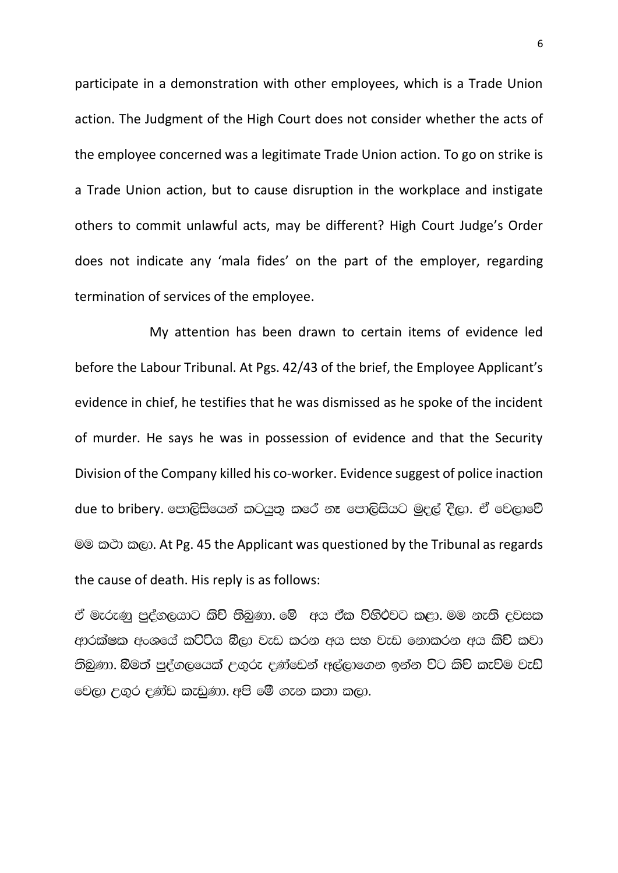participate in a demonstration with other employees, which is a Trade Union action. The Judgment of the High Court does not consider whether the acts of the employee concerned was a legitimate Trade Union action. To go on strike is a Trade Union action, but to cause disruption in the workplace and instigate others to commit unlawful acts, may be different? High Court Judge's Order does not indicate any 'mala fides' on the part of the employer, regarding termination of services of the employee.

My attention has been drawn to certain items of evidence led before the Labour Tribunal. At Pgs. 42/43 of the brief, the Employee Applicant's evidence in chief, he testifies that he was dismissed as he spoke of the incident of murder. He says he was in possession of evidence and that the Security Division of the Company killed his co-worker. Evidence suggest of police inaction due to bribery. පොලිසියෙන් කටයුතු කරේ නෑ පොලිසියට මුදල් දීලා. ඒ වෙලාවේ මම කථා කලා. At Pg. 45 the Applicant was questioned by the Tribunal as regards the cause of death. His reply is as follows:

ඒ මැරුණු පුද්ගලයාට කිච් තිබුණා. මේ අය ඒක විහිථවට කළා. මම නැති දවසක ආරක්ෂක අංශයේ කට්ටිය බීලා වැඩ කරන අය සහ වැඩ නොකරන අය කිච් කවා :තිබුණා. බිමත් පුද්ගලයෙක් උගුරු දණ්ඩෙන් අල්ලාගෙන ඉන්න විට කිච් කැවිම වැඩ @වලා උගුර දණ්ඩ කැඩුණා. අපි මේ ගැන කුතා කලා.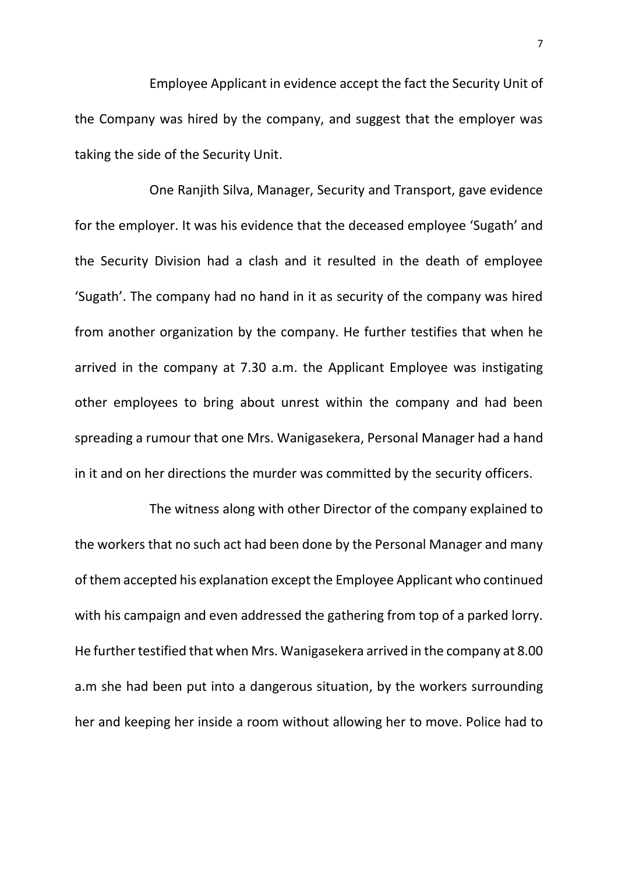Employee Applicant in evidence accept the fact the Security Unit of the Company was hired by the company, and suggest that the employer was taking the side of the Security Unit.

One Ranjith Silva, Manager, Security and Transport, gave evidence for the employer. It was his evidence that the deceased employee 'Sugath' and the Security Division had a clash and it resulted in the death of employee 'Sugath'. The company had no hand in it as security of the company was hired from another organization by the company. He further testifies that when he arrived in the company at 7.30 a.m. the Applicant Employee was instigating other employees to bring about unrest within the company and had been spreading a rumour that one Mrs. Wanigasekera, Personal Manager had a hand in it and on her directions the murder was committed by the security officers.

The witness along with other Director of the company explained to the workers that no such act had been done by the Personal Manager and many of them accepted his explanation except the Employee Applicant who continued with his campaign and even addressed the gathering from top of a parked lorry. He further testified that when Mrs. Wanigasekera arrived in the company at 8.00 a.m she had been put into a dangerous situation, by the workers surrounding her and keeping her inside a room without allowing her to move. Police had to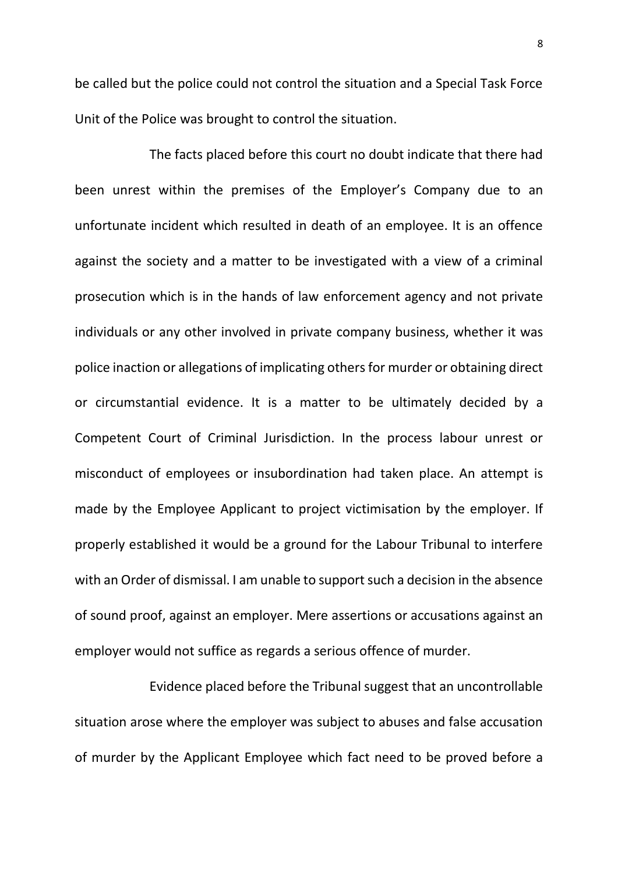be called but the police could not control the situation and a Special Task Force Unit of the Police was brought to control the situation.

The facts placed before this court no doubt indicate that there had been unrest within the premises of the Employer's Company due to an unfortunate incident which resulted in death of an employee. It is an offence against the society and a matter to be investigated with a view of a criminal prosecution which is in the hands of law enforcement agency and not private individuals or any other involved in private company business, whether it was police inaction or allegations of implicating others for murder or obtaining direct or circumstantial evidence. It is a matter to be ultimately decided by a Competent Court of Criminal Jurisdiction. In the process labour unrest or misconduct of employees or insubordination had taken place. An attempt is made by the Employee Applicant to project victimisation by the employer. If properly established it would be a ground for the Labour Tribunal to interfere with an Order of dismissal. I am unable to support such a decision in the absence of sound proof, against an employer. Mere assertions or accusations against an employer would not suffice as regards a serious offence of murder.

Evidence placed before the Tribunal suggest that an uncontrollable situation arose where the employer was subject to abuses and false accusation of murder by the Applicant Employee which fact need to be proved before a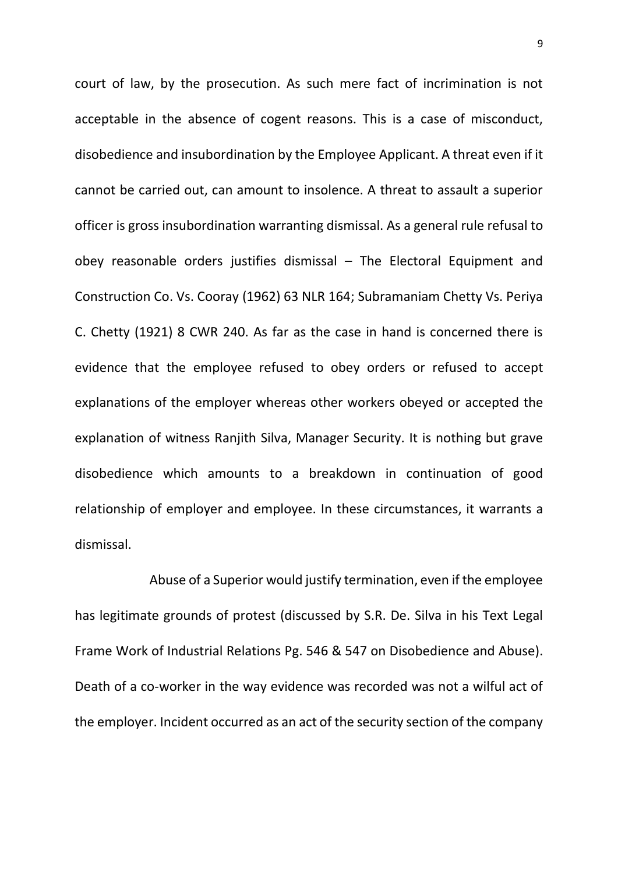court of law, by the prosecution. As such mere fact of incrimination is not acceptable in the absence of cogent reasons. This is a case of misconduct, disobedience and insubordination by the Employee Applicant. A threat even if it cannot be carried out, can amount to insolence. A threat to assault a superior officer is gross insubordination warranting dismissal. As a general rule refusal to obey reasonable orders justifies dismissal – The Electoral Equipment and Construction Co. Vs. Cooray (1962) 63 NLR 164; Subramaniam Chetty Vs. Periya C. Chetty (1921) 8 CWR 240. As far as the case in hand is concerned there is evidence that the employee refused to obey orders or refused to accept explanations of the employer whereas other workers obeyed or accepted the explanation of witness Ranjith Silva, Manager Security. It is nothing but grave disobedience which amounts to a breakdown in continuation of good relationship of employer and employee. In these circumstances, it warrants a dismissal.

Abuse of a Superior would justify termination, even if the employee has legitimate grounds of protest (discussed by S.R. De. Silva in his Text Legal Frame Work of Industrial Relations Pg. 546 & 547 on Disobedience and Abuse). Death of a co-worker in the way evidence was recorded was not a wilful act of the employer. Incident occurred as an act of the security section of the company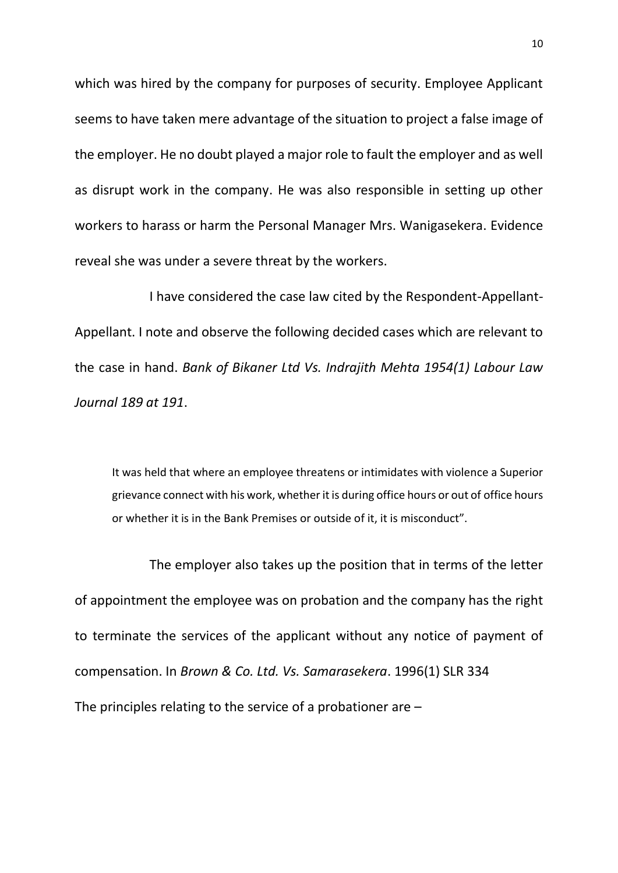which was hired by the company for purposes of security. Employee Applicant seems to have taken mere advantage of the situation to project a false image of the employer. He no doubt played a major role to fault the employer and as well as disrupt work in the company. He was also responsible in setting up other workers to harass or harm the Personal Manager Mrs. Wanigasekera. Evidence reveal she was under a severe threat by the workers.

I have considered the case law cited by the Respondent-Appellant-Appellant. I note and observe the following decided cases which are relevant to the case in hand. *Bank of Bikaner Ltd Vs. Indrajith Mehta 1954(1) Labour Law Journal 189 at 191*.

It was held that where an employee threatens or intimidates with violence a Superior grievance connect with his work, whether it is during office hours or out of office hours or whether it is in the Bank Premises or outside of it, it is misconduct".

The employer also takes up the position that in terms of the letter of appointment the employee was on probation and the company has the right to terminate the services of the applicant without any notice of payment of compensation. In *Brown & Co. Ltd. Vs. Samarasekera*. 1996(1) SLR 334 The principles relating to the service of a probationer are –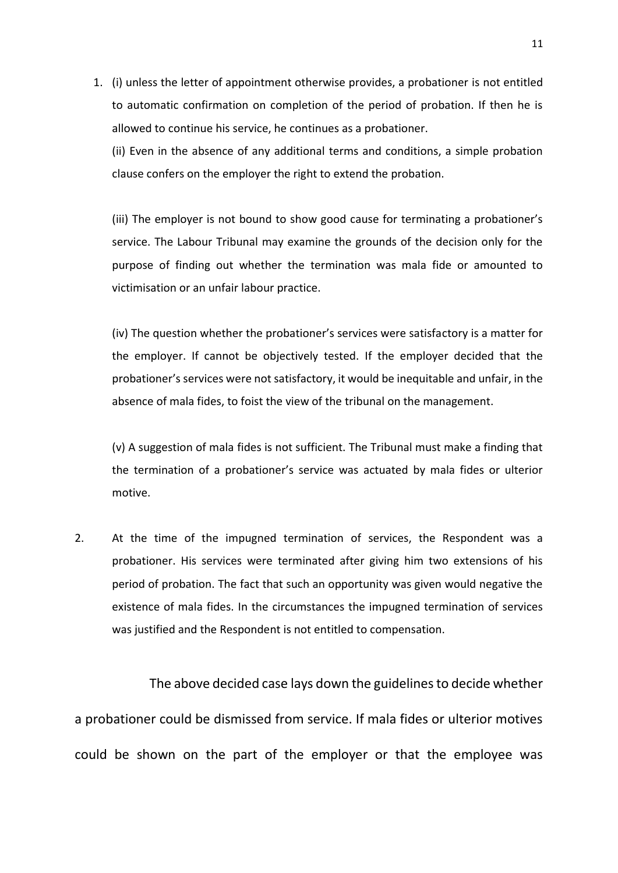1. (i) unless the letter of appointment otherwise provides, a probationer is not entitled to automatic confirmation on completion of the period of probation. If then he is allowed to continue his service, he continues as a probationer.

(ii) Even in the absence of any additional terms and conditions, a simple probation clause confers on the employer the right to extend the probation.

(iii) The employer is not bound to show good cause for terminating a probationer's service. The Labour Tribunal may examine the grounds of the decision only for the purpose of finding out whether the termination was mala fide or amounted to victimisation or an unfair labour practice.

(iv) The question whether the probationer's services were satisfactory is a matter for the employer. If cannot be objectively tested. If the employer decided that the probationer's services were not satisfactory, it would be inequitable and unfair, in the absence of mala fides, to foist the view of the tribunal on the management.

(v) A suggestion of mala fides is not sufficient. The Tribunal must make a finding that the termination of a probationer's service was actuated by mala fides or ulterior motive.

2. At the time of the impugned termination of services, the Respondent was a probationer. His services were terminated after giving him two extensions of his period of probation. The fact that such an opportunity was given would negative the existence of mala fides. In the circumstances the impugned termination of services was justified and the Respondent is not entitled to compensation.

 The above decided case lays down the guidelines to decide whether a probationer could be dismissed from service. If mala fides or ulterior motives could be shown on the part of the employer or that the employee was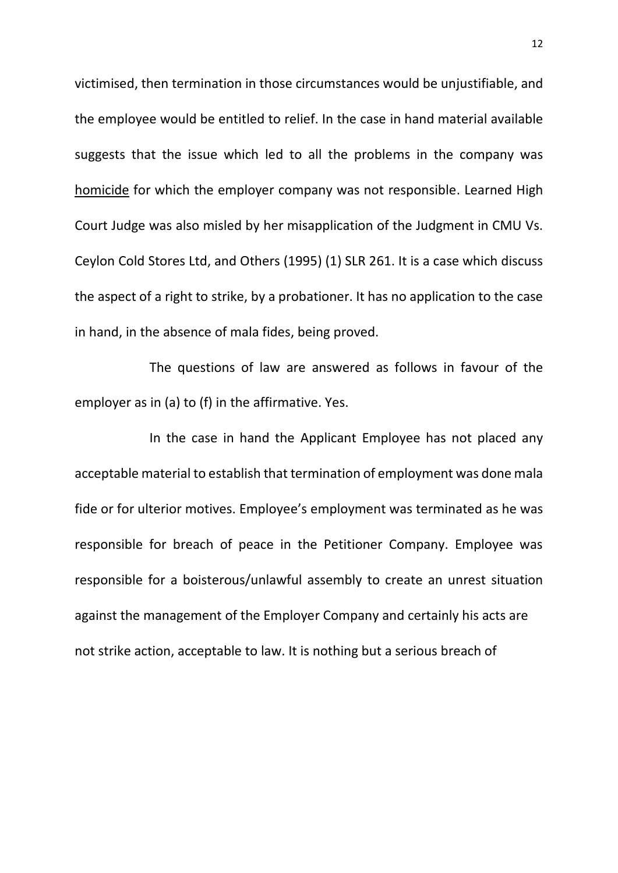victimised, then termination in those circumstances would be unjustifiable, and the employee would be entitled to relief. In the case in hand material available suggests that the issue which led to all the problems in the company was homicide for which the employer company was not responsible. Learned High Court Judge was also misled by her misapplication of the Judgment in CMU Vs. Ceylon Cold Stores Ltd, and Others (1995) (1) SLR 261. It is a case which discuss the aspect of a right to strike, by a probationer. It has no application to the case in hand, in the absence of mala fides, being proved.

The questions of law are answered as follows in favour of the employer as in (a) to (f) in the affirmative. Yes.

In the case in hand the Applicant Employee has not placed any acceptable material to establish that termination of employment was done mala fide or for ulterior motives. Employee's employment was terminated as he was responsible for breach of peace in the Petitioner Company. Employee was responsible for a boisterous/unlawful assembly to create an unrest situation against the management of the Employer Company and certainly his acts are not strike action, acceptable to law. It is nothing but a serious breach of